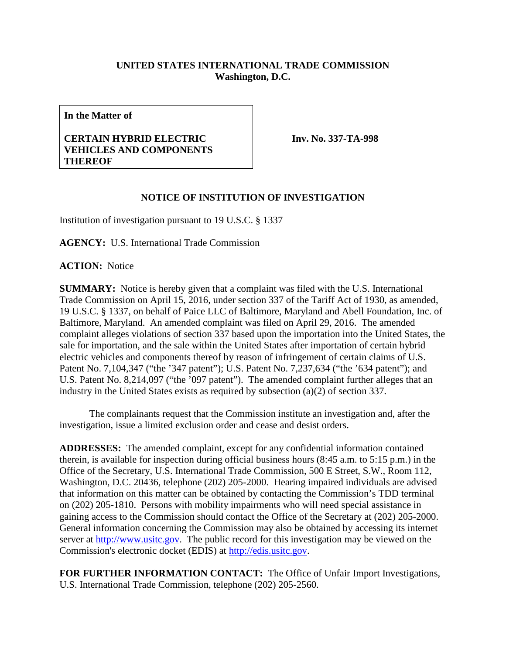## **UNITED STATES INTERNATIONAL TRADE COMMISSION Washington, D.C.**

**In the Matter of**

## **CERTAIN HYBRID ELECTRIC VEHICLES AND COMPONENTS THEREOF**

**Inv. No. 337-TA-998**

## **NOTICE OF INSTITUTION OF INVESTIGATION**

Institution of investigation pursuant to 19 U.S.C. § 1337

**AGENCY:** U.S. International Trade Commission

**ACTION:** Notice

**SUMMARY:** Notice is hereby given that a complaint was filed with the U.S. International Trade Commission on April 15, 2016, under section 337 of the Tariff Act of 1930, as amended, 19 U.S.C. § 1337, on behalf of Paice LLC of Baltimore, Maryland and Abell Foundation, Inc. of Baltimore, Maryland. An amended complaint was filed on April 29, 2016. The amended complaint alleges violations of section 337 based upon the importation into the United States, the sale for importation, and the sale within the United States after importation of certain hybrid electric vehicles and components thereof by reason of infringement of certain claims of U.S. Patent No. 7,104,347 ("the '347 patent"); U.S. Patent No. 7,237,634 ("the '634 patent"); and U.S. Patent No. 8,214,097 ("the '097 patent"). The amended complaint further alleges that an industry in the United States exists as required by subsection (a)(2) of section 337.

The complainants request that the Commission institute an investigation and, after the investigation, issue a limited exclusion order and cease and desist orders.

**ADDRESSES:** The amended complaint, except for any confidential information contained therein, is available for inspection during official business hours (8:45 a.m. to 5:15 p.m.) in the Office of the Secretary, U.S. International Trade Commission, 500 E Street, S.W., Room 112, Washington, D.C. 20436, telephone (202) 205-2000. Hearing impaired individuals are advised that information on this matter can be obtained by contacting the Commission's TDD terminal on (202) 205-1810. Persons with mobility impairments who will need special assistance in gaining access to the Commission should contact the Office of the Secretary at (202) 205-2000. General information concerning the Commission may also be obtained by accessing its internet server at [http://www.usitc.gov.](http://www.usitc.gov/) The public record for this investigation may be viewed on the Commission's electronic docket (EDIS) at [http://edis.usitc.gov.](http://edis.usitc.gov/)

**FOR FURTHER INFORMATION CONTACT:** The Office of Unfair Import Investigations, U.S. International Trade Commission, telephone (202) 205-2560.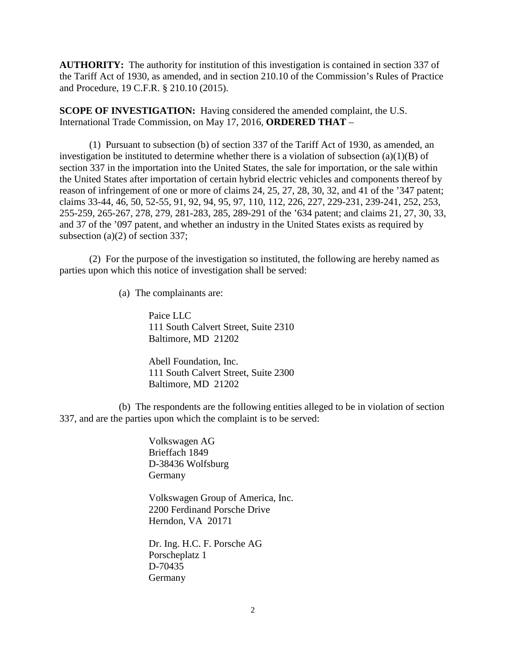**AUTHORITY:** The authority for institution of this investigation is contained in section 337 of the Tariff Act of 1930, as amended, and in section 210.10 of the Commission's Rules of Practice and Procedure, 19 C.F.R. § 210.10 (2015).

**SCOPE OF INVESTIGATION:** Having considered the amended complaint, the U.S. International Trade Commission, on May 17, 2016, **ORDERED THAT** –

(1) Pursuant to subsection (b) of section 337 of the Tariff Act of 1930, as amended, an investigation be instituted to determine whether there is a violation of subsection  $(a)(1)(B)$  of section 337 in the importation into the United States, the sale for importation, or the sale within the United States after importation of certain hybrid electric vehicles and components thereof by reason of infringement of one or more of claims 24, 25, 27, 28, 30, 32, and 41 of the '347 patent; claims 33-44, 46, 50, 52-55, 91, 92, 94, 95, 97, 110, 112, 226, 227, 229-231, 239-241, 252, 253, 255-259, 265-267, 278, 279, 281-283, 285, 289-291 of the '634 patent; and claims 21, 27, 30, 33, and 37 of the '097 patent, and whether an industry in the United States exists as required by subsection (a)(2) of section 337;

(2) For the purpose of the investigation so instituted, the following are hereby named as parties upon which this notice of investigation shall be served:

(a) The complainants are:

Paice LLC 111 South Calvert Street, Suite 2310 Baltimore, MD 21202

Abell Foundation, Inc. 111 South Calvert Street, Suite 2300 Baltimore, MD 21202

(b) The respondents are the following entities alleged to be in violation of section 337, and are the parties upon which the complaint is to be served:

> Volkswagen AG Brieffach 1849 D-38436 Wolfsburg Germany

Volkswagen Group of America, Inc. 2200 Ferdinand Porsche Drive Herndon, VA 20171

Dr. Ing. H.C. F. Porsche AG Porscheplatz 1 D-70435 Germany